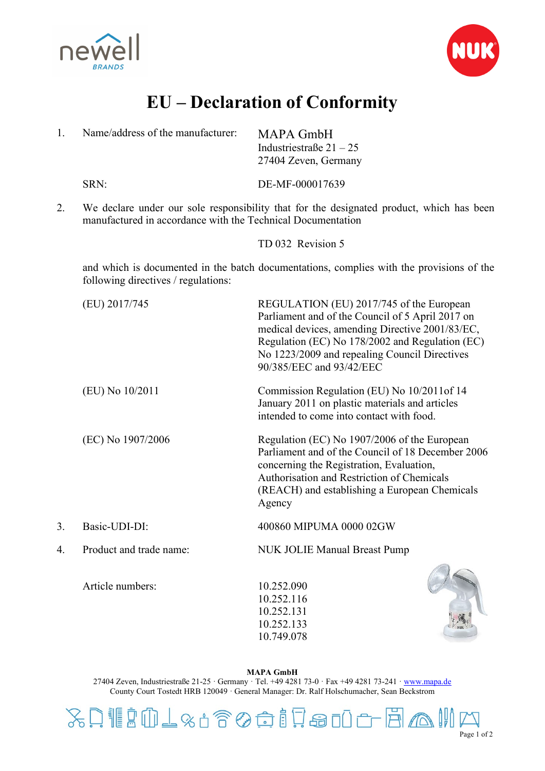



## **EU – Declaration of Conformity**

| 1. | Name/address of the manufacturer:                           | <b>MAPA GmbH</b><br>Industriestraße $21 - 25$<br>27404 Zeven, Germany                                                                                                                                                                                                           |
|----|-------------------------------------------------------------|---------------------------------------------------------------------------------------------------------------------------------------------------------------------------------------------------------------------------------------------------------------------------------|
|    | SRN:                                                        | DE-MF-000017639                                                                                                                                                                                                                                                                 |
| 2. | manufactured in accordance with the Technical Documentation | We declare under our sole responsibility that for the designated product, which has been                                                                                                                                                                                        |
|    |                                                             | TD 032 Revision 5                                                                                                                                                                                                                                                               |
|    | following directives / regulations:                         | and which is documented in the batch documentations, complies with the provisions of the                                                                                                                                                                                        |
|    | (EU) 2017/745                                               | REGULATION (EU) 2017/745 of the European<br>Parliament and of the Council of 5 April 2017 on<br>medical devices, amending Directive 2001/83/EC,<br>Regulation (EC) No 178/2002 and Regulation (EC)<br>No 1223/2009 and repealing Council Directives<br>90/385/EEC and 93/42/EEC |
|    | (EU) No 10/2011                                             | Commission Regulation (EU) No 10/2011of 14<br>January 2011 on plastic materials and articles<br>intended to come into contact with food.                                                                                                                                        |
|    | (EC) No 1907/2006                                           | Regulation (EC) No 1907/2006 of the European<br>Parliament and of the Council of 18 December 2006<br>concerning the Registration, Evaluation,<br>Authorisation and Restriction of Chemicals<br>(REACH) and establishing a European Chemicals<br>Agency                          |
| 3. | Basic-UDI-DI:                                               | 400860 MIPUMA 0000 02GW                                                                                                                                                                                                                                                         |
| 4. | Product and trade name:                                     | <b>NUK JOLIE Manual Breast Pump</b>                                                                                                                                                                                                                                             |
|    | Article numbers:                                            | 10.252.090                                                                                                                                                                                                                                                                      |

10.252.116 10.252.131 10.252.133 10.749.078



**MAPA GmbH** 27404 Zeven, Industriestraße 21-25 · Germany · Tel. +49 4281 73-0 · Fax +49 4281 73-241 [· www.mapa.de](http://www.mapa.de/) County Court Tostedt HRB 120049 · General Manager: Dr. Ralf Holschumacher, Sean Beckstrom